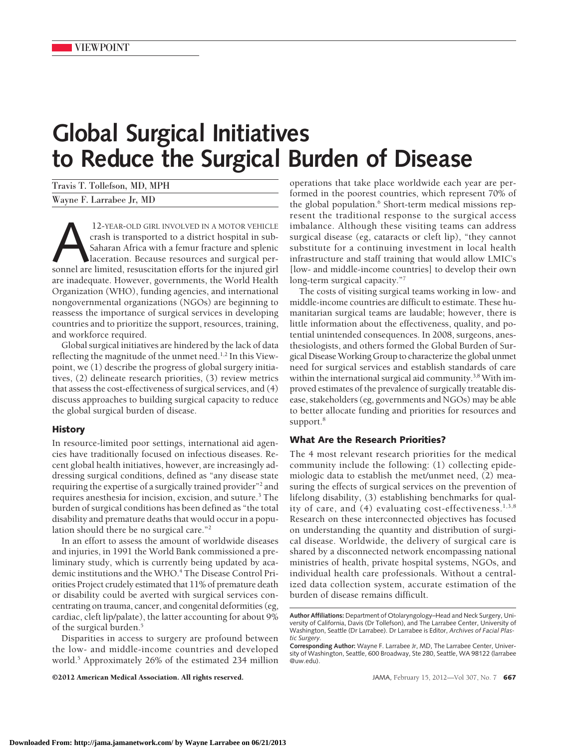# **Global Surgical Initiatives to Reduce the Surgical Burden of Disease**

Travis T. Tollefson, MD, MPH Wayne F. Larrabee Jr, MD

12-YEAR-OLD GIRL INVOLVED IN A MOTOR VEHICLE crash is transported to a district hospital in sub-<br>Saharan Africa with a femur fracture and splenic<br>sonnel are limited, resuscitation efforts for the injured girl crash is transported to a district hospital in sub-Saharan Africa with a femur fracture and splenic laceration. Because resources and surgical perare inadequate. However, governments, the World Health Organization (WHO), funding agencies, and international nongovernmental organizations (NGOs) are beginning to reassess the importance of surgical services in developing countries and to prioritize the support, resources, training, and workforce required.

Global surgical initiatives are hindered by the lack of data reflecting the magnitude of the unmet need.<sup>1,2</sup> In this Viewpoint, we (1) describe the progress of global surgery initiatives, (2) delineate research priorities, (3) review metrics that assess the cost-effectiveness of surgical services, and (4) discuss approaches to building surgical capacity to reduce the global surgical burden of disease.

#### **History**

In resource-limited poor settings, international aid agencies have traditionally focused on infectious diseases. Recent global health initiatives, however, are increasingly addressing surgical conditions, defined as "any disease state requiring the expertise of a surgically trained provider"2 and requires anesthesia for incision, excision, and suture.<sup>3</sup> The burden of surgical conditions has been defined as "the total disability and premature deaths that would occur in a population should there be no surgical care."2

In an effort to assess the amount of worldwide diseases and injuries, in 1991 the World Bank commissioned a preliminary study, which is currently being updated by academic institutions and the WHO.<sup>4</sup> The Disease Control Priorities Project crudely estimated that 11% of premature death or disability could be averted with surgical services concentrating on trauma, cancer, and congenital deformities (eg, cardiac, cleft lip/palate), the latter accounting for about 9% of the surgical burden.<sup>5</sup>

Disparities in access to surgery are profound between the low- and middle-income countries and developed world.5 Approximately 26% of the estimated 234 million

©2012 American Medical Association. All rights reserved. JAMA, February 15, 2012—Vol 307, No. 7 **667**

operations that take place worldwide each year are performed in the poorest countries, which represent 70% of the global population.<sup>6</sup> Short-term medical missions represent the traditional response to the surgical access imbalance. Although these visiting teams can address surgical disease (eg, cataracts or cleft lip), "they cannot substitute for a continuing investment in local health infrastructure and staff training that would allow LMIC's [low- and middle-income countries] to develop their own long-term surgical capacity."7

The costs of visiting surgical teams working in low- and middle-income countries are difficult to estimate. These humanitarian surgical teams are laudable; however, there is little information about the effectiveness, quality, and potential unintended consequences. In 2008, surgeons, anesthesiologists, and others formed the Global Burden of Surgical DiseaseWorking Group to characterize the global unmet need for surgical services and establish standards of care within the international surgical aid community.<sup>3,8</sup> With improved estimates of the prevalence of surgically treatable disease, stakeholders (eg, governments and NGOs) may be able to better allocate funding and priorities for resources and support.<sup>8</sup>

## **What Are the Research Priorities?**

The 4 most relevant research priorities for the medical community include the following: (1) collecting epidemiologic data to establish the met/unmet need, (2) measuring the effects of surgical services on the prevention of lifelong disability, (3) establishing benchmarks for quality of care, and  $(4)$  evaluating cost-effectiveness.<sup>1,3,8</sup> Research on these interconnected objectives has focused on understanding the quantity and distribution of surgical disease. Worldwide, the delivery of surgical care is shared by a disconnected network encompassing national ministries of health, private hospital systems, NGOs, and individual health care professionals. Without a centralized data collection system, accurate estimation of the burden of disease remains difficult.

**Author Affiliations:** Department of Otolaryngology–Head and Neck Surgery, University of California, Davis (Dr Tollefson), and The Larrabee Center, University of Washington, Seattle (Dr Larrabee). Dr Larrabee is Editor, *Archives of Facial Plastic Surgery.*

**Corresponding Author:** Wayne F. Larrabee Jr, MD, The Larrabee Center, University of Washington, Seattle, 600 Broadway, Ste 280, Seattle, WA 98122 (larrabee @uw.edu).